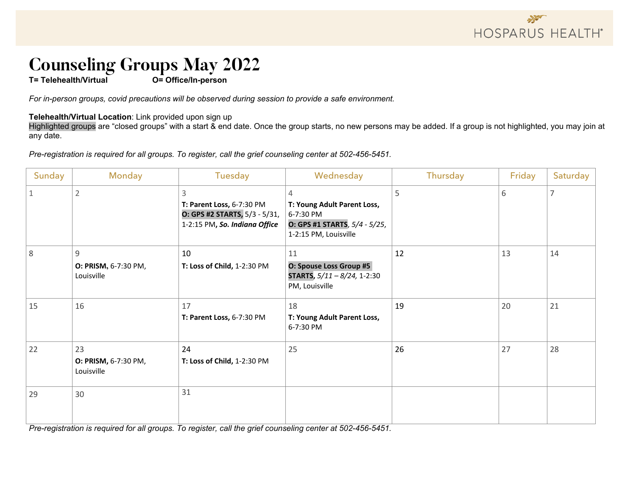

### **Counseling Groups May 2022**

**T= Telehealth/Virtual O= Office/In-person** 

*For in-person groups, covid precautions will be observed during session to provide a safe environment.* 

#### **Telehealth/Virtual Location**: Link provided upon sign up

Highlighted groups are "closed groups" with a start & end date. Once the group starts, no new persons may be added. If a group is not highlighted, you may join at any date.

*Pre-registration is required for all groups. To register, call the grief counseling center at 502-456-5451.*

| Sunday | Monday                                   | Tuesday                                                                                          | Wednesday                                                                                               | Thursday | Friday | Saturday |
|--------|------------------------------------------|--------------------------------------------------------------------------------------------------|---------------------------------------------------------------------------------------------------------|----------|--------|----------|
|        | $\overline{2}$                           | 3<br>T: Parent Loss, 6-7:30 PM<br>O: GPS #2 STARTS, 5/3 - 5/31,<br>1-2:15 PM, So. Indiana Office | 4<br>T: Young Adult Parent Loss,<br>6-7:30 PM<br>O: GPS #1 STARTS, 5/4 - 5/25,<br>1-2:15 PM, Louisville | 5        | 6      |          |
| 8      | 9<br>O: PRISM, 6-7:30 PM,<br>Louisville  | 10<br>T: Loss of Child, 1-2:30 PM                                                                | 11<br>O: Spouse Loss Group #5<br><b>STARTS,</b> $5/11 - 8/24$ , 1-2:30<br>PM, Louisville                | 12       | 13     | 14       |
| 15     | 16                                       | 17<br>T: Parent Loss, 6-7:30 PM                                                                  | 18<br>T: Young Adult Parent Loss,<br>6-7:30 PM                                                          | 19       | 20     | 21       |
| 22     | 23<br>O: PRISM, 6-7:30 PM,<br>Louisville | 24<br>T: Loss of Child, 1-2:30 PM                                                                | 25                                                                                                      | 26       | 27     | 28       |
| 29     | 30                                       | 31                                                                                               |                                                                                                         |          |        |          |

*Pre-registration is required for all groups. To register, call the grief counseling center at 502-456-5451.*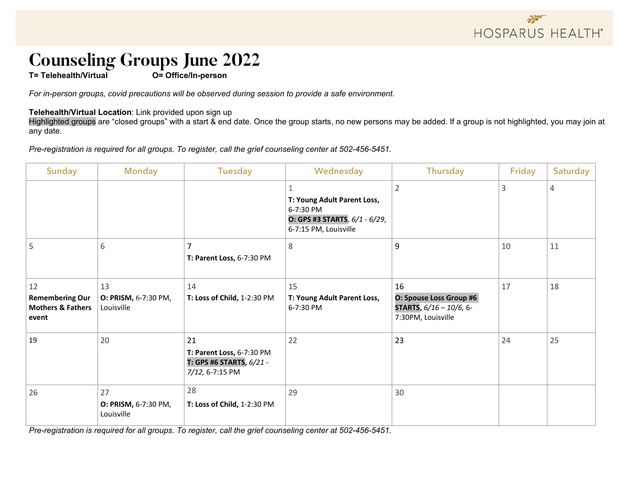## **Counseling Groups June 2022**<br>T= Telehealth/Virtual **Delay Conserver Conserverson**

**T= Telehealth/Virtual** 

*For in-person groups, covid precautions will be observed during session to provide a safe environment.* 

#### **Telehealth/Virtual Location**: Link provided upon sign up

Highlighted groups are "closed groups" with a start & end date. Once the group starts, no new persons may be added. If a group is not highlighted, you may join at any date.

*Pre-registration is required for all groups. To register, call the grief counseling center at 502-456-5451.*

| Sunday                                                                | <b>Monday</b>                            | Tuesday                                                                        | Wednesday                                                                                          | Thursday                                                                       | Friday | Saturday |
|-----------------------------------------------------------------------|------------------------------------------|--------------------------------------------------------------------------------|----------------------------------------------------------------------------------------------------|--------------------------------------------------------------------------------|--------|----------|
|                                                                       |                                          |                                                                                | T: Young Adult Parent Loss,<br>6-7:30 PM<br>O: GPS #3 STARTS, 6/1 - 6/29,<br>6-7:15 PM, Louisville | $\overline{2}$                                                                 | 3      | 4        |
| 5                                                                     | 6                                        | 7<br>T: Parent Loss, 6-7:30 PM                                                 | 8                                                                                                  | 9                                                                              | 10     | 11       |
| 12<br><b>Remembering Our</b><br><b>Mothers &amp; Fathers</b><br>event | 13<br>O: PRISM, 6-7:30 PM,<br>Louisville | 14<br>T: Loss of Child, 1-2:30 PM                                              | 15<br>T: Young Adult Parent Loss,<br>6-7:30 PM                                                     | 16<br>O: Spouse Loss Group #6<br>STARTS, 6/16 - 10/6, 6-<br>7:30PM, Louisville | 17     | 18       |
| 19                                                                    | 20                                       | 21<br>T: Parent Loss, 6-7:30 PM<br>T: GPS #6 STARTS, 6/21 -<br>7/12, 6-7:15 PM | 22                                                                                                 | 23                                                                             | 24     | 25       |
| 26                                                                    | 27<br>O: PRISM, 6-7:30 PM,<br>Louisville | 28<br>T: Loss of Child, 1-2:30 PM                                              | 29                                                                                                 | 30                                                                             |        |          |

*Pre-registration is required for all groups. To register, call the grief counseling center at 502-456-5451.*